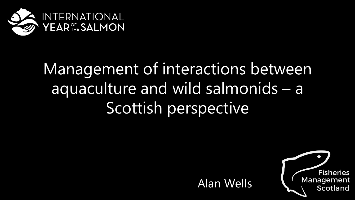

## Management of interactions between aquaculture and wild salmonids – a Scottish perspective



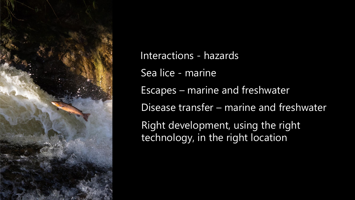

Interactions - hazards Sea lice - marine Escapes – marine and freshwater Disease transfer – marine and freshwater Right development, using the right technology, in the right location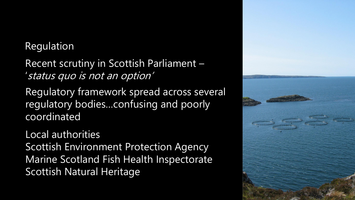## Regulation

Recent scrutiny in Scottish Parliament – 'status quo is not an option'

Regulatory framework spread across several regulatory bodies…confusing and poorly coordinated

Local authorities Scottish Environment Protection Agency Marine Scotland Fish Health Inspectorate Scottish Natural Heritage

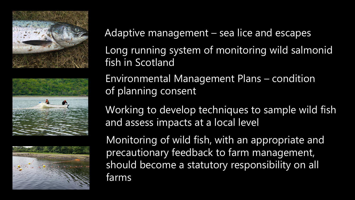





Adaptive management – sea lice and escapes

Long running system of monitoring wild salmonid fish in Scotland

Environmental Management Plans – condition of planning consent

Working to develop techniques to sample wild fish and assess impacts at a local level

Monitoring of wild fish, with an appropriate and precautionary feedback to farm management, should become a statutory responsibility on all farms